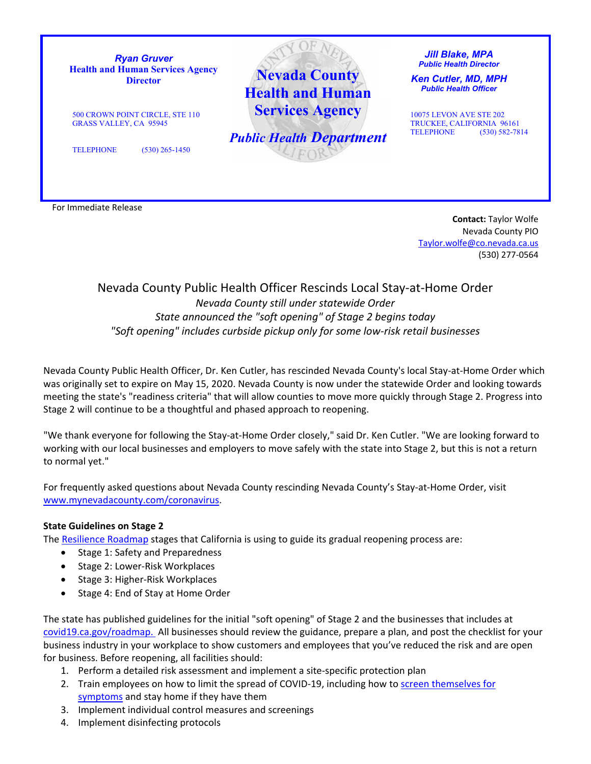

**Contact:** Taylor Wolfe Nevada County PIO [Taylor.wolfe@co.nevada.ca.us](mailto:Taylor.wolfe@co.nevada.ca.us) (530) 277-0564

## Nevada County Public Health Officer Rescinds Local Stay-at-Home Order *Nevada County still under statewide Order State announced the "soft opening" of Stage 2 begins today "Soft opening" includes curbside pickup only for some low-risk retail businesses*

Nevada County Public Health Officer, Dr. Ken Cutler, has rescinded Nevada County's local Stay-at-Home Order which was originally set to expire on May 15, 2020. Nevada County is now under the statewide Order and looking towards meeting the state's "readiness criteria" that will allow counties to move more quickly through Stage 2. Progress into Stage 2 will continue to be a thoughtful and phased approach to reopening.

"We thank everyone for following the Stay-at-Home Order closely," said Dr. Ken Cutler. "We are looking forward to working with our local businesses and employers to move safely with the state into Stage 2, but this is not a return to normal yet."

For frequently asked questions about Nevada County rescinding Nevada County's Stay-at-Home Order, visit [www.mynevadacounty.com/coronavirus.](http://www.mynevadacounty.com/coronavirus)

## **State Guidelines on Stage 2**

The [Resilience Roadmap](https://www.gov.ca.gov/wp-content/uploads/2020/05/5.7.20-Presentation.pdf) stages that California is using to guide its gradual reopening process are:

- Stage 1: Safety and Preparedness
- Stage 2: Lower-Risk Workplaces
- Stage 3: Higher-Risk Workplaces
- Stage 4: End of Stay at Home Order

The state has published guidelines for the initial "soft opening" of Stage 2 and the businesses that includes at [covid19.ca.gov/roadmap. A](https://covid19.ca.gov/roadmap/)ll businesses should review the guidance, prepare a plan, and post the checklist for your business industry in your workplace to show customers and employees that you've reduced the risk and are open for business. Before reopening, all facilities should:

- 1. Perform a detailed risk assessment and implement a site-specific protection plan
- 2. Train employees on how to limit the spread of COVID-19, including how to screen themselves for [symptoms](https://www.cdc.gov/coronavirus/2019-ncov/symptoms-testing/symptoms.html?CDC_AA_refVal=https%3A%2F%2Fwww.cdc.gov%2Fcoronavirus%2F2019-ncov%2Fsymptoms-testing%2Findex.html) and stay home if they have them
- 3. Implement individual control measures and screenings
- 4. Implement disinfecting protocols